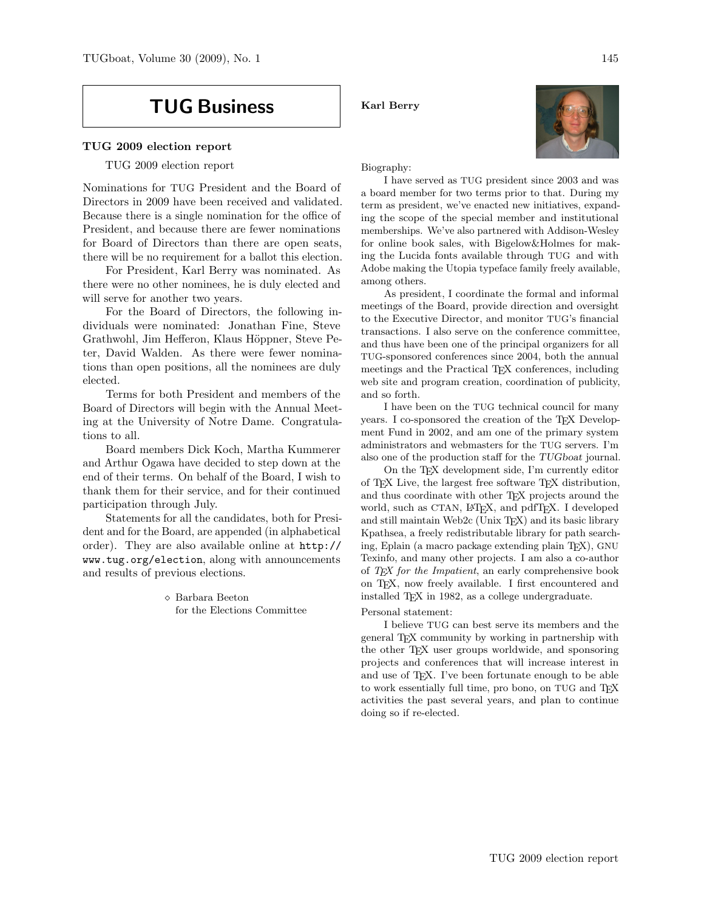# TUG Business

# TUG 2009 election report

TUG 2009 election report

Nominations for TUG President and the Board of Directors in 2009 have been received and validated. Because there is a single nomination for the office of President, and because there are fewer nominations for Board of Directors than there are open seats, there will be no requirement for a ballot this election.

For President, Karl Berry was nominated. As there were no other nominees, he is duly elected and will serve for another two years.

For the Board of Directors, the following individuals were nominated: Jonathan Fine, Steve Grathwohl, Jim Hefferon, Klaus Höppner, Steve Peter, David Walden. As there were fewer nominations than open positions, all the nominees are duly elected.

Terms for both President and members of the Board of Directors will begin with the Annual Meeting at the University of Notre Dame. Congratulations to all.

Board members Dick Koch, Martha Kummerer and Arthur Ogawa have decided to step down at the end of their terms. On behalf of the Board, I wish to thank them for their service, and for their continued participation through July.

Statements for all the candidates, both for President and for the Board, are appended (in alphabetical order). They are also available online at http:// www.tug.org/election, along with announcements and results of previous elections.

> Barbara Beeton for the Elections Committee

Karl Berry



Biography:

I have served as TUG president since 2003 and was a board member for two terms prior to that. During my term as president, we've enacted new initiatives, expanding the scope of the special member and institutional memberships. We've also partnered with Addison-Wesley for online book sales, with Bigelow&Holmes for making the Lucida fonts available through TUG and with Adobe making the Utopia typeface family freely available, among others.

As president, I coordinate the formal and informal meetings of the Board, provide direction and oversight to the Executive Director, and monitor TUG's financial transactions. I also serve on the conference committee, and thus have been one of the principal organizers for all TUG-sponsored conferences since 2004, both the annual meetings and the Practical TEX conferences, including web site and program creation, coordination of publicity, and so forth.

I have been on the TUG technical council for many years. I co-sponsored the creation of the TEX Development Fund in 2002, and am one of the primary system administrators and webmasters for the TUG servers. I'm also one of the production staff for the TUGboat journal.

On the TEX development side, I'm currently editor of TEX Live, the largest free software TEX distribution, and thus coordinate with other T<sub>EX</sub> projects around the world, such as CTAN, L<sup>AT</sup>EX, and pdfTEX. I developed and still maintain Web2c (Unix TEX) and its basic library Kpathsea, a freely redistributable library for path searching, Eplain (a macro package extending plain TEX), GNU Texinfo, and many other projects. I am also a co-author of TEX for the Impatient, an early comprehensive book on TEX, now freely available. I first encountered and installed TEX in 1982, as a college undergraduate.

#### Personal statement:

I believe TUG can best serve its members and the general TEX community by working in partnership with the other TEX user groups worldwide, and sponsoring projects and conferences that will increase interest in and use of TEX. I've been fortunate enough to be able to work essentially full time, pro bono, on TUG and TFX activities the past several years, and plan to continue doing so if re-elected.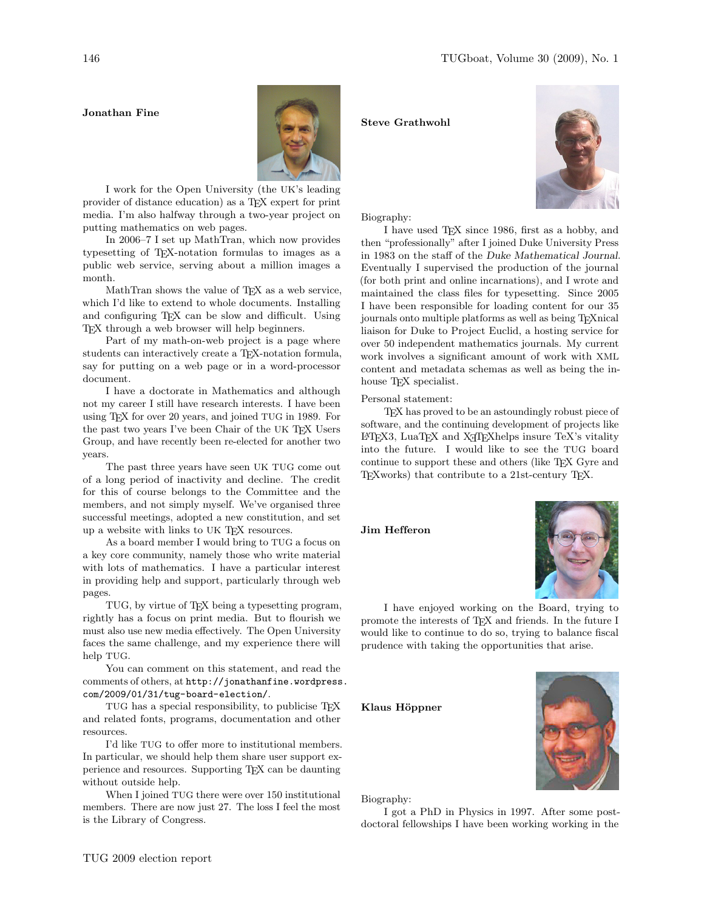## Jonathan Fine



I work for the Open University (the UK's leading provider of distance education) as a TEX expert for print media. I'm also halfway through a two-year project on putting mathematics on web pages.

In 2006–7 I set up MathTran, which now provides typesetting of TEX-notation formulas to images as a public web service, serving about a million images a month.

MathTran shows the value of TEX as a web service, which I'd like to extend to whole documents. Installing and configuring TEX can be slow and difficult. Using TEX through a web browser will help beginners.

Part of my math-on-web project is a page where students can interactively create a TEX-notation formula, say for putting on a web page or in a word-processor document.

I have a doctorate in Mathematics and although not my career I still have research interests. I have been using TEX for over 20 years, and joined TUG in 1989. For the past two years I've been Chair of the UK TFX Users Group, and have recently been re-elected for another two years.

The past three years have seen UK TUG come out of a long period of inactivity and decline. The credit for this of course belongs to the Committee and the members, and not simply myself. We've organised three successful meetings, adopted a new constitution, and set up a website with links to UK TEX resources.

As a board member I would bring to TUG a focus on a key core community, namely those who write material with lots of mathematics. I have a particular interest in providing help and support, particularly through web pages.

TUG, by virtue of TEX being a typesetting program, rightly has a focus on print media. But to flourish we must also use new media effectively. The Open University faces the same challenge, and my experience there will help TUG.

You can comment on this statement, and read the comments of others, at http://jonathanfine.wordpress. com/2009/01/31/tug-board-election/.

TUG has a special responsibility, to publicise TEX and related fonts, programs, documentation and other resources.

I'd like TUG to offer more to institutional members. In particular, we should help them share user support experience and resources. Supporting TEX can be daunting without outside help.

When I joined TUG there were over 150 institutional members. There are now just 27. The loss I feel the most is the Library of Congress.

# Steve Grathwohl



Biography:

I have used TEX since 1986, first as a hobby, and then "professionally" after I joined Duke University Press in 1983 on the staff of the Duke Mathematical Journal. Eventually I supervised the production of the journal (for both print and online incarnations), and I wrote and maintained the class files for typesetting. Since 2005 I have been responsible for loading content for our 35 journals onto multiple platforms as well as being TEXnical liaison for Duke to Project Euclid, a hosting service for over 50 independent mathematics journals. My current work involves a significant amount of work with XML content and metadata schemas as well as being the inhouse T<sub>E</sub>X specialist.

Personal statement:

TEX has proved to be an astoundingly robust piece of software, and the continuing development of projects like  $L^2T$ <sub>EX3</sub>, LuaT<sub>EX</sub> and X<sub>T</sub>T<sub>E</sub>Xhelps insure TeX's vitality into the future. I would like to see the TUG board continue to support these and others (like TEX Gyre and TEXworks) that contribute to a 21st-century TEX.

Jim Hefferon



I have enjoyed working on the Board, trying to promote the interests of T<sub>E</sub>X and friends. In the future I would like to continue to do so, trying to balance fiscal prudence with taking the opportunities that arise.

Klaus Höppner



Biography:

I got a PhD in Physics in 1997. After some postdoctoral fellowships I have been working working in the